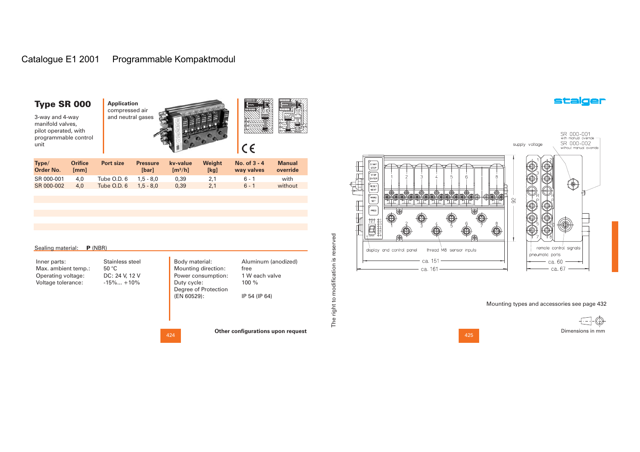# Catalogue E1 2001 Programmable Kompaktmodul

### Type SR 000

3-way and 4-way manifold valves, pilot operated, with programmable control unit





| Type/<br><b>Order No.</b> | <b>Orifice</b><br>[mm] | Port size   | <b>Pressure</b><br><b>S</b> barl | kv-value<br>$\mathrm{Im}^3/\mathrm{hl}$ | Weight<br>[kg] | No. of $3 - 4$<br>way valves | <b>Manual</b><br>override |
|---------------------------|------------------------|-------------|----------------------------------|-----------------------------------------|----------------|------------------------------|---------------------------|
| SR 000-001                | 4.0                    | Tube O.D. 6 | $1.5 - 8.0$                      | 0.39                                    | 2.1            | 6 - 1                        | with                      |
| SR 000-002                | 4.0                    | Tube O.D. 6 | $1.5 - 8.0$                      | 0.39                                    | 2.1            | $6 - 1$                      | without                   |

| Sealing material: <b>P</b> (NBR) |  |  |
|----------------------------------|--|--|
|                                  |  |  |

Inner parts: Max. ambient temp.: Operating voltage: Voltage tolerance: 50 °C

Body material: Duty cycle: (EN 60529): Stainless steel DC: 24 V, 12 V  $-15\%... +10\%$ 

Mounting direction: Power consumption: Degree of Protection Aluminum (anodized) free 1 W each valve100 %IP 54 (IP 64)

424

**Other configurations upon request**

The right to modification is reserved

The right to modification is reserved

SR 000-001<br>with manual override -<br>SR 000-002<br>without manual override supply voltage  $\begin{array}{|c|c|c|c|c|}\hline \hline \begin{matrix} 30 & 0 & 0 & 0 & 0 \\ 0 & 30 & 0 & 0 & 0 \\ 0 & 0 & 0 & 0 & 0 \\ 0 & 0 & 0 & 0 & 0 \\ 0 & 0 & 0 & 0 & 0 \\ 0 & 0 & 0 & 0 & 0 \\ 0 & 0 & 0 & 0 & 0 \\ 0 & 0 & 0 & 0 & 0 \\ 0 & 0 & 0 & 0 & 0 \\ 0 & 0 & 0 & 0 & 0 \\ 0 & 0 & 0 & 0 & 0 \\ 0 & 0 & 0 & 0 & 0 \\ 0 & 0 & 0 & 0$  $_{\bigodot}$ ñ **THE** ۷ ⊙  $\circledast$  $\circledcirc$ 910 910 910 910 910 910  $\approx$ YN IT.  $\begin{picture}(120,110) \put(0,0){\line(1,0){15}} \put(15,0){\line(1,0){15}} \put(15,0){\line(1,0){15}} \put(15,0){\line(1,0){15}} \put(15,0){\line(1,0){15}} \put(15,0){\line(1,0){15}} \put(15,0){\line(1,0){15}} \put(15,0){\line(1,0){15}} \put(15,0){\line(1,0){15}} \put(15,0){\line(1,0){15}} \put(15,0){\line(1,0){15}} \put(15,0){\line$ r, remote control signals display and control panel thread M8 sensor inputs pneumatic ports ca. 151 ca. 60 ca. 67 ca 161

Mounting types and accessories see page 432

Dimensions in mm

425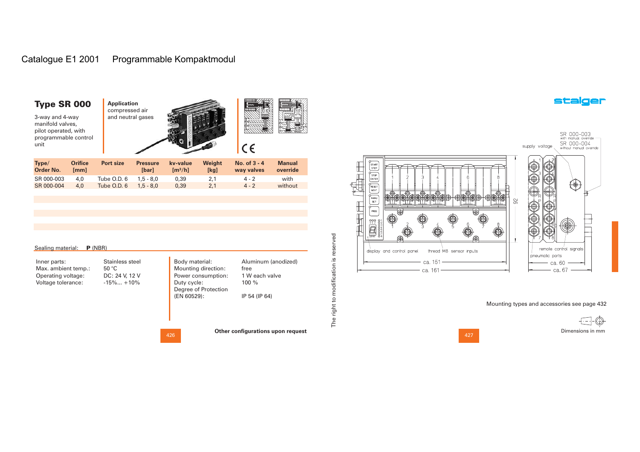# Catalogue E1 2001 Programmable Kompaktmodul

| <b>Type SR 000</b><br>3-way and 4-way<br>manifold valves,<br>pilot operated, with<br>programmable control<br>unit |                        | <b>Application</b><br>compressed air<br>and neutral gases |                          |                                          |                | CC                           | ₩                         |
|-------------------------------------------------------------------------------------------------------------------|------------------------|-----------------------------------------------------------|--------------------------|------------------------------------------|----------------|------------------------------|---------------------------|
| Type/<br>Order No.                                                                                                | <b>Orifice</b><br>[mm] | Port size                                                 | <b>Pressure</b><br>[bar] | kv-value<br>$\left[\frac{m^3}{h}\right]$ | Weight<br>[kg] | No. of $3 - 4$<br>way valves | <b>Manual</b><br>override |
| SR 000-003                                                                                                        | 4,0                    | Tube O.D. 6                                               | $1,5 - 8,0$              | 0,39                                     | 2,1            | $4 - 2$                      | with                      |
| SR 000-004                                                                                                        | 4,0                    | Tube O.D. 6                                               | $1.5 - 8.0$              | 0,39                                     | 2,1            | $4 - 2$                      | without                   |

| Inner parts:        | Stainless steel | Body material:       | Aluminum (anodized) |
|---------------------|-----------------|----------------------|---------------------|
| Max. ambient temp.: | 50 °C           | Mounting direction:  | free                |
| Operating voltage:  | DC: 24 V, 12 V  | Power consumption:   | 1 W each valve      |
| Voltage tolerance:  | $-15\%+10\%$    | Duty cycle:          | $100 \%$            |
|                     |                 | Degree of Protection |                     |
|                     |                 | (EN 60529):          | IP 54 (IP 64)       |
|                     |                 |                      |                     |
|                     |                 |                      |                     |
|                     |                 |                      |                     |

The right to modification is reserved

The right to modification is reserved

**Other configurations upon request**

SR 000-003<br>with manual override —<br>SR 000-004<br>without manual override supply voltage START<br>STEP<br>RESET<br>NEXT  $\textcircled{\tiny{}}\textcircled{\tiny{}}\textcircled{\tiny{}}\textcircled{\tiny{}}\textcircled{\tiny{}}$ O **THE**  $\bigcircled{0} \bigcircled{0}$  $\circledcirc$ -0-0  $\circ\circ\circ\circ\circ\circ$  $\oplus \qquad \bullet$  $\begin{array}{c}\n\hline\n\hline\n\text{MANU} \\
\hline\n\text{SET}\n\end{array}$  $\circledcirc$ ⊦∈k  $\infty$ -<br>PROG 1® Š. II.  $\sum_{n=1}^{\infty}$ C C remote control signals display and control panel thread M8 sensor inputs pneumatic ports ca.  $151 -$  ca. 60  $-$  ca. 67 ca. 161

Mounting types and accessories see page 432

f -Dimensions in mm

427